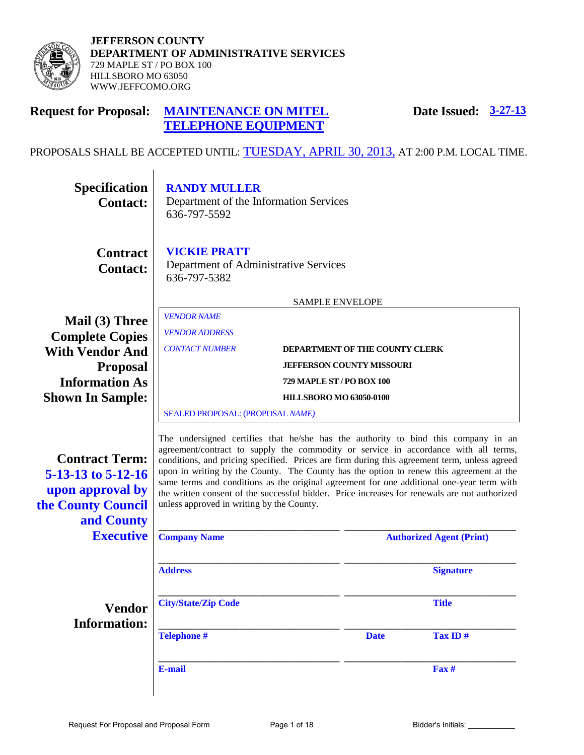

**JEFFERSON COUNTY DEPARTMENT OF ADMINISTRATIVE SERVICES**  729 MAPLE ST / PO BOX 100 HILLSBORO MO 63050 WWW.JEFFCOMO.ORG

#### **Request for Proposal: MAINTENANCE ON MITEL TELEPHONE EQUIPMENT Date Issued: 3-27-13**

# PROPOSALS SHALL BE ACCEPTED UNTIL: TUESDAY, APRIL 30, 2013, AT 2:00 P.M. LOCAL TIME.

| <b>RANDY MULLER</b><br>Department of the Information Services<br>636-797-5592                                                                                                                                                                                                                                                                                                                                               |  |                                           |                                                                                                                                                                                                                                                                                                                                                                                                                                                                                                                                                                    |  |  |
|-----------------------------------------------------------------------------------------------------------------------------------------------------------------------------------------------------------------------------------------------------------------------------------------------------------------------------------------------------------------------------------------------------------------------------|--|-------------------------------------------|--------------------------------------------------------------------------------------------------------------------------------------------------------------------------------------------------------------------------------------------------------------------------------------------------------------------------------------------------------------------------------------------------------------------------------------------------------------------------------------------------------------------------------------------------------------------|--|--|
| <b>VICKIE PRATT</b><br>Department of Administrative Services<br>636-797-5382                                                                                                                                                                                                                                                                                                                                                |  |                                           |                                                                                                                                                                                                                                                                                                                                                                                                                                                                                                                                                                    |  |  |
| <b>SAMPLE ENVELOPE</b><br><b>VENDOR NAME</b><br>Mail (3) Three<br><b>VENDOR ADDRESS</b><br><b>Complete Copies</b><br><b>CONTACT NUMBER</b><br>DEPARTMENT OF THE COUNTY CLERK<br><b>With Vendor And</b><br><b>JEFFERSON COUNTY MISSOURI</b><br><b>Proposal</b><br><b>Information As</b><br><b>729 MAPLE ST / PO BOX 100</b><br><b>Shown In Sample:</b><br><b>HILLSBORO MO 63050-0100</b><br>SEALED PROPOSAL: (PROPOSAL NAME) |  |                                           |                                                                                                                                                                                                                                                                                                                                                                                                                                                                                                                                                                    |  |  |
|                                                                                                                                                                                                                                                                                                                                                                                                                             |  |                                           |                                                                                                                                                                                                                                                                                                                                                                                                                                                                                                                                                                    |  |  |
| <b>Company Name</b>                                                                                                                                                                                                                                                                                                                                                                                                         |  |                                           | <b>Authorized Agent (Print)</b>                                                                                                                                                                                                                                                                                                                                                                                                                                                                                                                                    |  |  |
| <b>Address</b>                                                                                                                                                                                                                                                                                                                                                                                                              |  |                                           | <b>Signature</b>                                                                                                                                                                                                                                                                                                                                                                                                                                                                                                                                                   |  |  |
| <b>City/State/Zip Code</b>                                                                                                                                                                                                                                                                                                                                                                                                  |  |                                           | <b>Title</b>                                                                                                                                                                                                                                                                                                                                                                                                                                                                                                                                                       |  |  |
| <b>Telephone #</b>                                                                                                                                                                                                                                                                                                                                                                                                          |  | <b>Date</b>                               | Tax ID#                                                                                                                                                                                                                                                                                                                                                                                                                                                                                                                                                            |  |  |
| E-mail                                                                                                                                                                                                                                                                                                                                                                                                                      |  |                                           | Fax #                                                                                                                                                                                                                                                                                                                                                                                                                                                                                                                                                              |  |  |
|                                                                                                                                                                                                                                                                                                                                                                                                                             |  | unless approved in writing by the County. | The undersigned certifies that he/she has the authority to bind this company in an<br>agreement/contract to supply the commodity or service in accordance with all terms,<br>conditions, and pricing specified. Prices are firm during this agreement term, unless agreed<br>upon in writing by the County. The County has the option to renew this agreement at the<br>same terms and conditions as the original agreement for one additional one-year term with<br>the written consent of the successful bidder. Price increases for renewals are not authorized |  |  |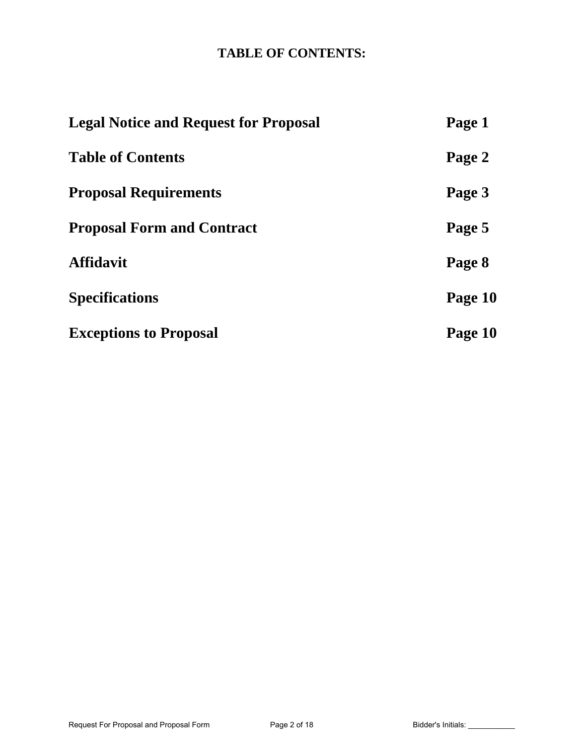# **TABLE OF CONTENTS:**

| <b>Legal Notice and Request for Proposal</b> | Page 1  |
|----------------------------------------------|---------|
| <b>Table of Contents</b>                     | Page 2  |
| <b>Proposal Requirements</b>                 | Page 3  |
| <b>Proposal Form and Contract</b>            | Page 5  |
| <b>Affidavit</b>                             | Page 8  |
| <b>Specifications</b>                        | Page 10 |
| <b>Exceptions to Proposal</b>                | Page 10 |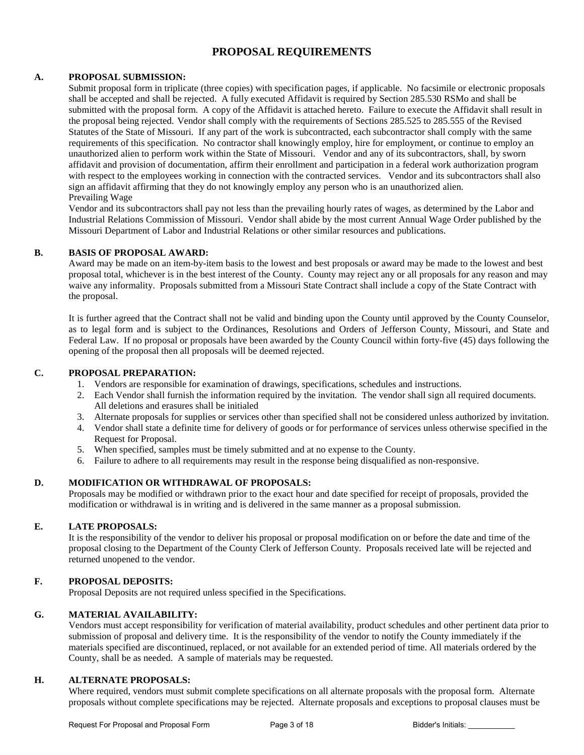## **PROPOSAL REQUIREMENTS**

#### **A. PROPOSAL SUBMISSION:**

Submit proposal form in triplicate (three copies) with specification pages, if applicable. No facsimile or electronic proposals shall be accepted and shall be rejected. A fully executed Affidavit is required by Section 285.530 RSMo and shall be submitted with the proposal form. A copy of the Affidavit is attached hereto. Failure to execute the Affidavit shall result in the proposal being rejected. Vendor shall comply with the requirements of Sections 285.525 to 285.555 of the Revised Statutes of the State of Missouri. If any part of the work is subcontracted, each subcontractor shall comply with the same requirements of this specification. No contractor shall knowingly employ, hire for employment, or continue to employ an unauthorized alien to perform work within the State of Missouri. Vendor and any of its subcontractors, shall, by sworn affidavit and provision of documentation, affirm their enrollment and participation in a federal work authorization program with respect to the employees working in connection with the contracted services. Vendor and its subcontractors shall also sign an affidavit affirming that they do not knowingly employ any person who is an unauthorized alien. Prevailing Wage

Vendor and its subcontractors shall pay not less than the prevailing hourly rates of wages, as determined by the Labor and Industrial Relations Commission of Missouri. Vendor shall abide by the most current Annual Wage Order published by the Missouri Department of Labor and Industrial Relations or other similar resources and publications.

#### **B. BASIS OF PROPOSAL AWARD:**

Award may be made on an item-by-item basis to the lowest and best proposals or award may be made to the lowest and best proposal total, whichever is in the best interest of the County. County may reject any or all proposals for any reason and may waive any informality. Proposals submitted from a Missouri State Contract shall include a copy of the State Contract with the proposal.

It is further agreed that the Contract shall not be valid and binding upon the County until approved by the County Counselor, as to legal form and is subject to the Ordinances, Resolutions and Orders of Jefferson County, Missouri, and State and Federal Law. If no proposal or proposals have been awarded by the County Council within forty-five (45) days following the opening of the proposal then all proposals will be deemed rejected.

#### **C. PROPOSAL PREPARATION:**

- 1. Vendors are responsible for examination of drawings, specifications, schedules and instructions.
- 2. Each Vendor shall furnish the information required by the invitation. The vendor shall sign all required documents. All deletions and erasures shall be initialed
- 3. Alternate proposals for supplies or services other than specified shall not be considered unless authorized by invitation.
- 4. Vendor shall state a definite time for delivery of goods or for performance of services unless otherwise specified in the Request for Proposal.
- 5. When specified, samples must be timely submitted and at no expense to the County.
- 6. Failure to adhere to all requirements may result in the response being disqualified as non-responsive.

#### **D. MODIFICATION OR WITHDRAWAL OF PROPOSALS:**

Proposals may be modified or withdrawn prior to the exact hour and date specified for receipt of proposals, provided the modification or withdrawal is in writing and is delivered in the same manner as a proposal submission.

#### **E. LATE PROPOSALS:**

It is the responsibility of the vendor to deliver his proposal or proposal modification on or before the date and time of the proposal closing to the Department of the County Clerk of Jefferson County. Proposals received late will be rejected and returned unopened to the vendor.

#### **F. PROPOSAL DEPOSITS:**

Proposal Deposits are not required unless specified in the Specifications.

#### **G. MATERIAL AVAILABILITY:**

Vendors must accept responsibility for verification of material availability, product schedules and other pertinent data prior to submission of proposal and delivery time. It is the responsibility of the vendor to notify the County immediately if the materials specified are discontinued, replaced, or not available for an extended period of time. All materials ordered by the County, shall be as needed. A sample of materials may be requested.

### **H. ALTERNATE PROPOSALS:**

Where required, vendors must submit complete specifications on all alternate proposals with the proposal form. Alternate proposals without complete specifications may be rejected. Alternate proposals and exceptions to proposal clauses must be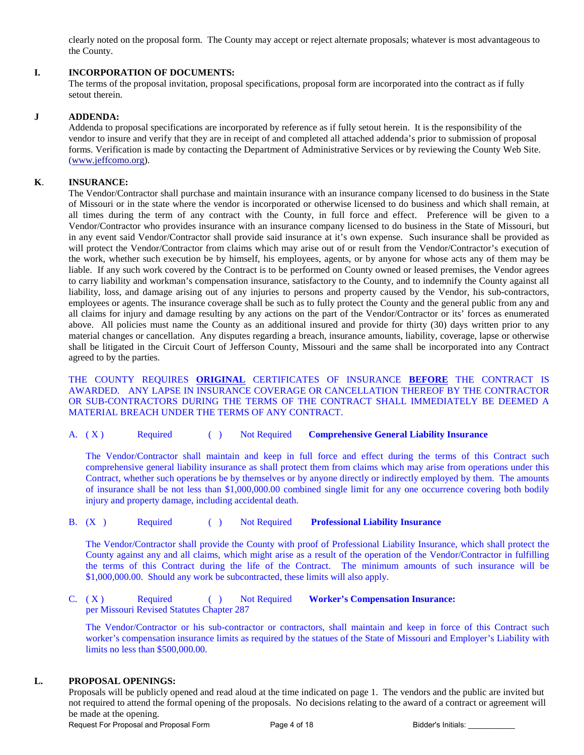clearly noted on the proposal form. The County may accept or reject alternate proposals; whatever is most advantageous to the County.

#### **I. INCORPORATION OF DOCUMENTS:**

The terms of the proposal invitation, proposal specifications, proposal form are incorporated into the contract as if fully setout therein.

#### **J ADDENDA:**

Addenda to proposal specifications are incorporated by reference as if fully setout herein. It is the responsibility of the vendor to insure and verify that they are in receipt of and completed all attached addenda's prior to submission of proposal forms. Verification is made by contacting the Department of Administrative Services or by reviewing the County Web Site. [\(www.jeffcomo.org\)](http://www.jeffcomo.org/).

#### **K**. **INSURANCE:**

 The Vendor/Contractor shall purchase and maintain insurance with an insurance company licensed to do business in the State of Missouri or in the state where the vendor is incorporated or otherwise licensed to do business and which shall remain, at all times during the term of any contract with the County, in full force and effect. Preference will be given to a Vendor/Contractor who provides insurance with an insurance company licensed to do business in the State of Missouri, but in any event said Vendor/Contractor shall provide said insurance at it's own expense. Such insurance shall be provided as will protect the Vendor/Contractor from claims which may arise out of or result from the Vendor/Contractor's execution of the work, whether such execution be by himself, his employees, agents, or by anyone for whose acts any of them may be liable. If any such work covered by the Contract is to be performed on County owned or leased premises, the Vendor agrees to carry liability and workman's compensation insurance, satisfactory to the County, and to indemnify the County against all liability, loss, and damage arising out of any injuries to persons and property caused by the Vendor, his sub-contractors, employees or agents. The insurance coverage shall be such as to fully protect the County and the general public from any and all claims for injury and damage resulting by any actions on the part of the Vendor/Contractor or its' forces as enumerated above. All policies must name the County as an additional insured and provide for thirty (30) days written prior to any material changes or cancellation. Any disputes regarding a breach, insurance amounts, liability, coverage, lapse or otherwise shall be litigated in the Circuit Court of Jefferson County, Missouri and the same shall be incorporated into any Contract agreed to by the parties.

 THE COUNTY REQUIRES **ORIGINAL** CERTIFICATES OF INSURANCE **BEFORE** THE CONTRACT IS AWARDED. ANY LAPSE IN INSURANCE COVERAGE OR CANCELLATION THEREOF BY THE CONTRACTOR OR SUB-CONTRACTORS DURING THE TERMS OF THE CONTRACT SHALL IMMEDIATELY BE DEEMED A MATERIAL BREACH UNDER THE TERMS OF ANY CONTRACT.

A. ( X ) Required ( ) Not Required **Comprehensive General Liability Insurance**

The Vendor/Contractor shall maintain and keep in full force and effect during the terms of this Contract such comprehensive general liability insurance as shall protect them from claims which may arise from operations under this Contract, whether such operations be by themselves or by anyone directly or indirectly employed by them. The amounts of insurance shall be not less than \$1,000,000.00 combined single limit for any one occurrence covering both bodily injury and property damage, including accidental death.

B. (X ) Required ( ) Not Required **Professional Liability Insurance**

The Vendor/Contractor shall provide the County with proof of Professional Liability Insurance, which shall protect the County against any and all claims, which might arise as a result of the operation of the Vendor/Contractor in fulfilling the terms of this Contract during the life of the Contract. The minimum amounts of such insurance will be \$1,000,000.00. Should any work be subcontracted, these limits will also apply.

C. (X) Required ( ) Not Required **Worker's Compensation Insurance:** per Missouri Revised Statutes Chapter 287

The Vendor/Contractor or his sub-contractor or contractors, shall maintain and keep in force of this Contract such worker's compensation insurance limits as required by the statues of the State of Missouri and Employer's Liability with limits no less than \$500,000.00.

#### **L. PROPOSAL OPENINGS:**

Proposals will be publicly opened and read aloud at the time indicated on page 1. The vendors and the public are invited but not required to attend the formal opening of the proposals. No decisions relating to the award of a contract or agreement will be made at the opening.

Request For Proposal and Proposal Form Page 4 of 18 Bidder's Initials: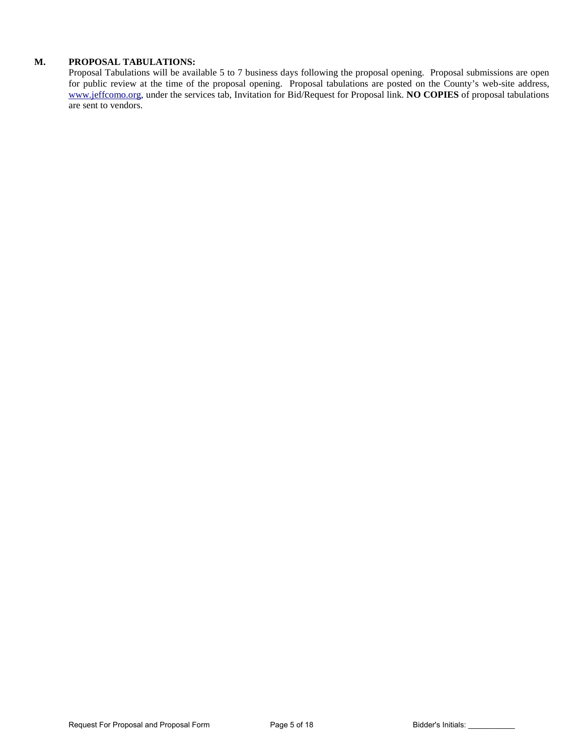### **M. PROPOSAL TABULATIONS:**

Proposal Tabulations will be available 5 to 7 business days following the proposal opening. Proposal submissions are open for public review at the time of the proposal opening. Proposal tabulations are posted on the County's web-site address, [www.jeffcomo.org,](http://www.jeffcomo.org/) under the services tab, Invitation for Bid/Request for Proposal link. **NO COPIES** of proposal tabulations are sent to vendors.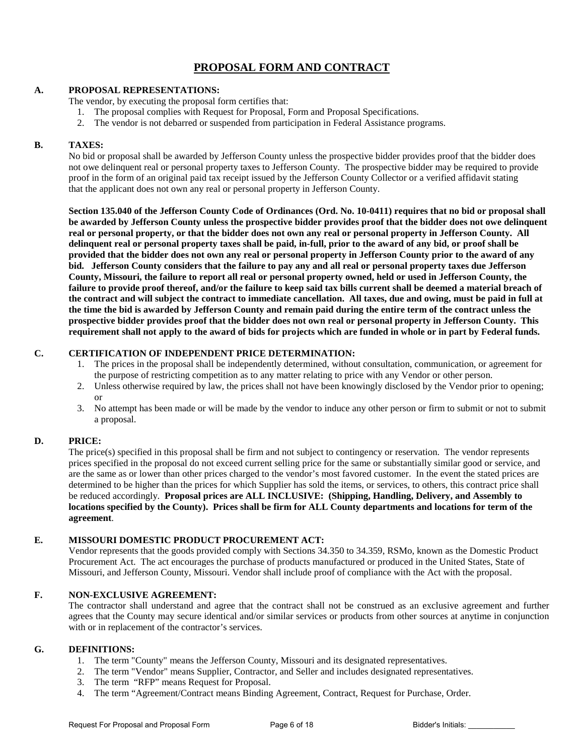## **PROPOSAL FORM AND CONTRACT**

#### **A. PROPOSAL REPRESENTATIONS:**

The vendor, by executing the proposal form certifies that:

- 1. The proposal complies with Request for Proposal, Form and Proposal Specifications.
- 2. The vendor is not debarred or suspended from participation in Federal Assistance programs.

#### **B. TAXES:**

No bid or proposal shall be awarded by Jefferson County unless the prospective bidder provides proof that the bidder does not owe delinquent real or personal property taxes to Jefferson County. The prospective bidder may be required to provide proof in the form of an original paid tax receipt issued by the Jefferson County Collector or a verified affidavit stating that the applicant does not own any real or personal property in Jefferson County.

**Section 135.040 of the Jefferson County Code of Ordinances (Ord. No. 10-0411) requires that no bid or proposal shall be awarded by Jefferson County unless the prospective bidder provides proof that the bidder does not owe delinquent real or personal property, or that the bidder does not own any real or personal property in Jefferson County. All delinquent real or personal property taxes shall be paid, in-full, prior to the award of any bid, or proof shall be provided that the bidder does not own any real or personal property in Jefferson County prior to the award of any bid. Jefferson County considers that the failure to pay any and all real or personal property taxes due Jefferson County, Missouri, the failure to report all real or personal property owned, held or used in Jefferson County, the failure to provide proof thereof, and/or the failure to keep said tax bills current shall be deemed a material breach of the contract and will subject the contract to immediate cancellation. All taxes, due and owing, must be paid in full at the time the bid is awarded by Jefferson County and remain paid during the entire term of the contract unless the prospective bidder provides proof that the bidder does not own real or personal property in Jefferson County. This requirement shall not apply to the award of bids for projects which are funded in whole or in part by Federal funds.**

### **C. CERTIFICATION OF INDEPENDENT PRICE DETERMINATION:**

- 1. The prices in the proposal shall be independently determined, without consultation, communication, or agreement for the purpose of restricting competition as to any matter relating to price with any Vendor or other person.
- 2. Unless otherwise required by law, the prices shall not have been knowingly disclosed by the Vendor prior to opening; or
- 3. No attempt has been made or will be made by the vendor to induce any other person or firm to submit or not to submit a proposal.

#### **D. PRICE:**

The price(s) specified in this proposal shall be firm and not subject to contingency or reservation. The vendor represents prices specified in the proposal do not exceed current selling price for the same or substantially similar good or service, and are the same as or lower than other prices charged to the vendor's most favored customer. In the event the stated prices are determined to be higher than the prices for which Supplier has sold the items, or services, to others, this contract price shall be reduced accordingly. **Proposal prices are ALL INCLUSIVE: (Shipping, Handling, Delivery, and Assembly to locations specified by the County). Prices shall be firm for ALL County departments and locations for term of the agreement**.

### **E. MISSOURI DOMESTIC PRODUCT PROCUREMENT ACT:**

Vendor represents that the goods provided comply with Sections 34.350 to 34.359, RSMo, known as the Domestic Product Procurement Act. The act encourages the purchase of products manufactured or produced in the United States, State of Missouri, and Jefferson County, Missouri. Vendor shall include proof of compliance with the Act with the proposal.

#### **F. NON-EXCLUSIVE AGREEMENT:**

The contractor shall understand and agree that the contract shall not be construed as an exclusive agreement and further agrees that the County may secure identical and/or similar services or products from other sources at anytime in conjunction with or in replacement of the contractor's services.

#### **G. DEFINITIONS:**

- 1. The term "County" means the Jefferson County, Missouri and its designated representatives.
- 2. The term "Vendor" means Supplier, Contractor, and Seller and includes designated representatives.
- 3. The term "RFP" means Request for Proposal.
- 4. The term "Agreement/Contract means Binding Agreement, Contract, Request for Purchase, Order.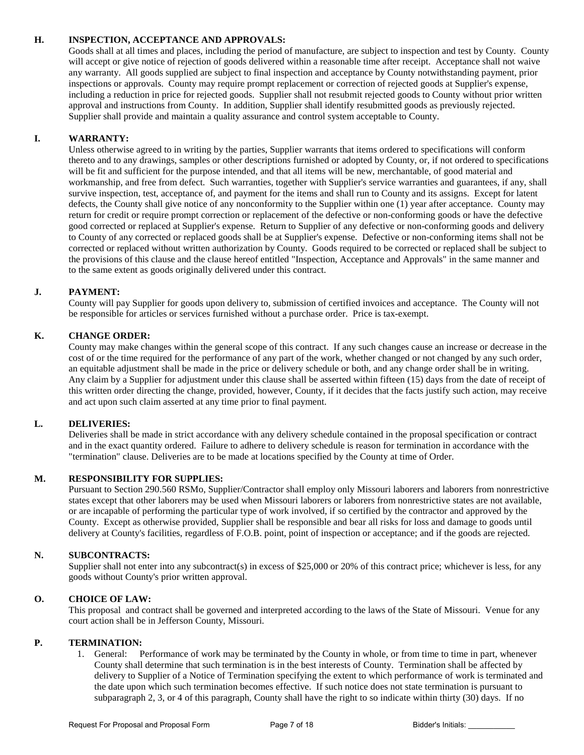### **H. INSPECTION, ACCEPTANCE AND APPROVALS:**

Goods shall at all times and places, including the period of manufacture, are subject to inspection and test by County. County will accept or give notice of rejection of goods delivered within a reasonable time after receipt. Acceptance shall not waive any warranty. All goods supplied are subject to final inspection and acceptance by County notwithstanding payment, prior inspections or approvals. County may require prompt replacement or correction of rejected goods at Supplier's expense, including a reduction in price for rejected goods. Supplier shall not resubmit rejected goods to County without prior written approval and instructions from County. In addition, Supplier shall identify resubmitted goods as previously rejected. Supplier shall provide and maintain a quality assurance and control system acceptable to County.

### **I. WARRANTY:**

Unless otherwise agreed to in writing by the parties, Supplier warrants that items ordered to specifications will conform thereto and to any drawings, samples or other descriptions furnished or adopted by County, or, if not ordered to specifications will be fit and sufficient for the purpose intended, and that all items will be new, merchantable, of good material and workmanship, and free from defect. Such warranties, together with Supplier's service warranties and guarantees, if any, shall survive inspection, test, acceptance of, and payment for the items and shall run to County and its assigns. Except for latent defects, the County shall give notice of any nonconformity to the Supplier within one (1) year after acceptance. County may return for credit or require prompt correction or replacement of the defective or non-conforming goods or have the defective good corrected or replaced at Supplier's expense. Return to Supplier of any defective or non-conforming goods and delivery to County of any corrected or replaced goods shall be at Supplier's expense. Defective or non-conforming items shall not be corrected or replaced without written authorization by County. Goods required to be corrected or replaced shall be subject to the provisions of this clause and the clause hereof entitled "Inspection, Acceptance and Approvals" in the same manner and to the same extent as goods originally delivered under this contract.

### **J. PAYMENT:**

County will pay Supplier for goods upon delivery to, submission of certified invoices and acceptance. The County will not be responsible for articles or services furnished without a purchase order. Price is tax-exempt.

### **K. CHANGE ORDER:**

County may make changes within the general scope of this contract. If any such changes cause an increase or decrease in the cost of or the time required for the performance of any part of the work, whether changed or not changed by any such order, an equitable adjustment shall be made in the price or delivery schedule or both, and any change order shall be in writing. Any claim by a Supplier for adjustment under this clause shall be asserted within fifteen (15) days from the date of receipt of this written order directing the change, provided, however, County, if it decides that the facts justify such action, may receive and act upon such claim asserted at any time prior to final payment.

#### **L. DELIVERIES:**

Deliveries shall be made in strict accordance with any delivery schedule contained in the proposal specification or contract and in the exact quantity ordered. Failure to adhere to delivery schedule is reason for termination in accordance with the "termination" clause. Deliveries are to be made at locations specified by the County at time of Order.

#### **M. RESPONSIBILITY FOR SUPPLIES:**

Pursuant to Section 290.560 RSMo, Supplier/Contractor shall employ only Missouri laborers and laborers from nonrestrictive states except that other laborers may be used when Missouri laborers or laborers from nonrestrictive states are not available, or are incapable of performing the particular type of work involved, if so certified by the contractor and approved by the County. Except as otherwise provided, Supplier shall be responsible and bear all risks for loss and damage to goods until delivery at County's facilities, regardless of F.O.B. point, point of inspection or acceptance; and if the goods are rejected.

#### **N. SUBCONTRACTS:**

Supplier shall not enter into any subcontract(s) in excess of \$25,000 or 20% of this contract price; whichever is less, for any goods without County's prior written approval.

#### **O. CHOICE OF LAW:**

This proposal and contract shall be governed and interpreted according to the laws of the State of Missouri. Venue for any court action shall be in Jefferson County, Missouri.

#### **P. TERMINATION:**

1. General: Performance of work may be terminated by the County in whole, or from time to time in part, whenever County shall determine that such termination is in the best interests of County. Termination shall be affected by delivery to Supplier of a Notice of Termination specifying the extent to which performance of work is terminated and the date upon which such termination becomes effective. If such notice does not state termination is pursuant to subparagraph 2, 3, or 4 of this paragraph, County shall have the right to so indicate within thirty (30) days. If no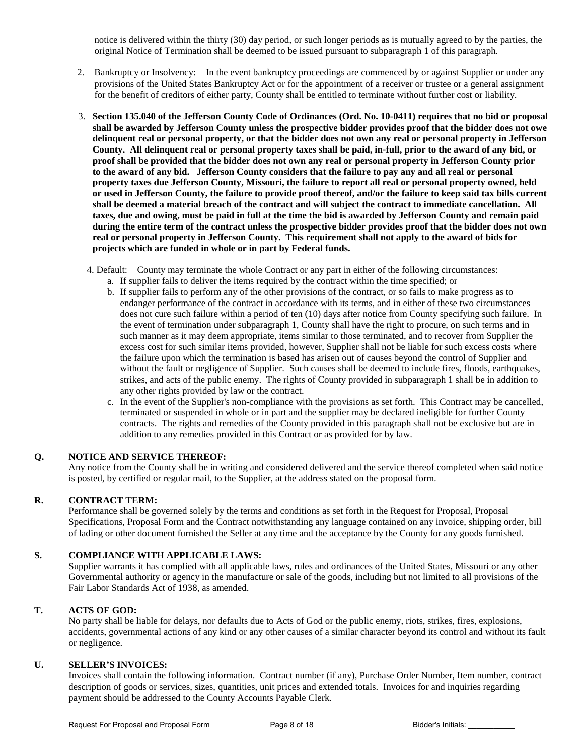notice is delivered within the thirty (30) day period, or such longer periods as is mutually agreed to by the parties, the original Notice of Termination shall be deemed to be issued pursuant to subparagraph 1 of this paragraph.

- 2. Bankruptcy or Insolvency: In the event bankruptcy proceedings are commenced by or against Supplier or under any provisions of the United States Bankruptcy Act or for the appointment of a receiver or trustee or a general assignment for the benefit of creditors of either party, County shall be entitled to terminate without further cost or liability.
- 3. **Section 135.040 of the Jefferson County Code of Ordinances (Ord. No. 10-0411) requires that no bid or proposal shall be awarded by Jefferson County unless the prospective bidder provides proof that the bidder does not owe delinquent real or personal property, or that the bidder does not own any real or personal property in Jefferson County. All delinquent real or personal property taxes shall be paid, in-full, prior to the award of any bid, or proof shall be provided that the bidder does not own any real or personal property in Jefferson County prior to the award of any bid. Jefferson County considers that the failure to pay any and all real or personal property taxes due Jefferson County, Missouri, the failure to report all real or personal property owned, held or used in Jefferson County, the failure to provide proof thereof, and/or the failure to keep said tax bills current shall be deemed a material breach of the contract and will subject the contract to immediate cancellation. All taxes, due and owing, must be paid in full at the time the bid is awarded by Jefferson County and remain paid during the entire term of the contract unless the prospective bidder provides proof that the bidder does not own real or personal property in Jefferson County. This requirement shall not apply to the award of bids for projects which are funded in whole or in part by Federal funds.**
	- 4. Default: County may terminate the whole Contract or any part in either of the following circumstances:
		- a. If supplier fails to deliver the items required by the contract within the time specified; or
		- b. If supplier fails to perform any of the other provisions of the contract, or so fails to make progress as to endanger performance of the contract in accordance with its terms, and in either of these two circumstances does not cure such failure within a period of ten (10) days after notice from County specifying such failure. In the event of termination under subparagraph 1, County shall have the right to procure, on such terms and in such manner as it may deem appropriate, items similar to those terminated, and to recover from Supplier the excess cost for such similar items provided, however, Supplier shall not be liable for such excess costs where the failure upon which the termination is based has arisen out of causes beyond the control of Supplier and without the fault or negligence of Supplier. Such causes shall be deemed to include fires, floods, earthquakes, strikes, and acts of the public enemy. The rights of County provided in subparagraph 1 shall be in addition to any other rights provided by law or the contract.
		- c. In the event of the Supplier's non-compliance with the provisions as set forth. This Contract may be cancelled, terminated or suspended in whole or in part and the supplier may be declared ineligible for further County contracts. The rights and remedies of the County provided in this paragraph shall not be exclusive but are in addition to any remedies provided in this Contract or as provided for by law.

#### **Q. NOTICE AND SERVICE THEREOF:**

Any notice from the County shall be in writing and considered delivered and the service thereof completed when said notice is posted, by certified or regular mail, to the Supplier, at the address stated on the proposal form.

#### **R. CONTRACT TERM:**

Performance shall be governed solely by the terms and conditions as set forth in the Request for Proposal, Proposal Specifications, Proposal Form and the Contract notwithstanding any language contained on any invoice, shipping order, bill of lading or other document furnished the Seller at any time and the acceptance by the County for any goods furnished.

#### **S. COMPLIANCE WITH APPLICABLE LAWS:**

Supplier warrants it has complied with all applicable laws, rules and ordinances of the United States, Missouri or any other Governmental authority or agency in the manufacture or sale of the goods, including but not limited to all provisions of the Fair Labor Standards Act of 1938, as amended.

#### **T. ACTS OF GOD:**

No party shall be liable for delays, nor defaults due to Acts of God or the public enemy, riots, strikes, fires, explosions, accidents, governmental actions of any kind or any other causes of a similar character beyond its control and without its fault or negligence.

#### **U. SELLER'S INVOICES:**

Invoices shall contain the following information. Contract number (if any), Purchase Order Number, Item number, contract description of goods or services, sizes, quantities, unit prices and extended totals. Invoices for and inquiries regarding payment should be addressed to the County Accounts Payable Clerk.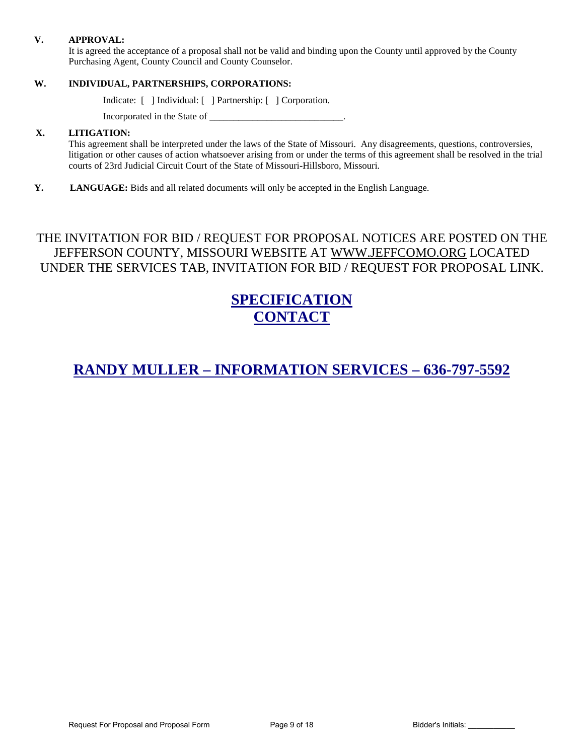#### **V. APPROVAL:**

It is agreed the acceptance of a proposal shall not be valid and binding upon the County until approved by the County Purchasing Agent, County Council and County Counselor.

### **W. INDIVIDUAL, PARTNERSHIPS, CORPORATIONS:**

Indicate: [ ] Individual: [ ] Partnership: [ ] Corporation.

Incorporated in the State of

### **X. LITIGATION:**

This agreement shall be interpreted under the laws of the State of Missouri. Any disagreements, questions, controversies, litigation or other causes of action whatsoever arising from or under the terms of this agreement shall be resolved in the trial courts of 23rd Judicial Circuit Court of the State of Missouri-Hillsboro, Missouri.

**Y. LANGUAGE:** Bids and all related documents will only be accepted in the English Language.

THE INVITATION FOR BID / REQUEST FOR PROPOSAL NOTICES ARE POSTED ON THE JEFFERSON COUNTY, MISSOURI WEBSITE AT [WWW.JEFFCOMO.ORG](http://www.jeffcomo.org/) LOCATED UNDER THE SERVICES TAB, INVITATION FOR BID / REQUEST FOR PROPOSAL LINK.

# **SPECIFICATION CONTACT**

# **RANDY MULLER – INFORMATION SERVICES – 636-797-5592**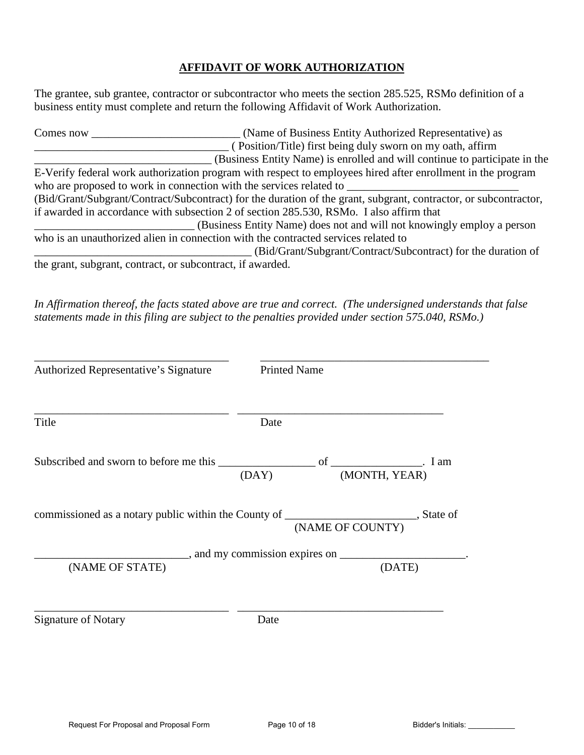# **AFFIDAVIT OF WORK AUTHORIZATION**

The grantee, sub grantee, contractor or subcontractor who meets the section 285.525, RSMo definition of a business entity must complete and return the following Affidavit of Work Authorization.

| Comes now                                                  | (Name of Business Entity Authorized Representative) as                                                           |  |  |  |  |  |
|------------------------------------------------------------|------------------------------------------------------------------------------------------------------------------|--|--|--|--|--|
|                                                            | (Position/Title) first being duly sworn on my oath, affirm                                                       |  |  |  |  |  |
|                                                            | (Business Entity Name) is enrolled and will continue to participate in the                                       |  |  |  |  |  |
|                                                            | E-Verify federal work authorization program with respect to employees hired after enrollment in the program      |  |  |  |  |  |
|                                                            | who are proposed to work in connection with the services related to                                              |  |  |  |  |  |
|                                                            | (Bid/Grant/Subgrant/Contract/Subcontract) for the duration of the grant, subgrant, contractor, or subcontractor, |  |  |  |  |  |
|                                                            | if awarded in accordance with subsection 2 of section 285.530, RSMo. I also affirm that                          |  |  |  |  |  |
|                                                            | (Business Entity Name) does not and will not knowingly employ a person                                           |  |  |  |  |  |
|                                                            | who is an unauthorized alien in connection with the contracted services related to                               |  |  |  |  |  |
|                                                            | (Bid/Grant/Subgrant/Contract/Subcontract) for the duration of                                                    |  |  |  |  |  |
| the grant, subgrant, contract, or subcontract, if awarded. |                                                                                                                  |  |  |  |  |  |

*In Affirmation thereof, the facts stated above are true and correct. (The undersigned understands that false statements made in this filing are subject to the penalties provided under section 575.040, RSMo.)* 

| Authorized Representative's Signature                                                                                      | <b>Printed Name</b> |                                                              |  |
|----------------------------------------------------------------------------------------------------------------------------|---------------------|--------------------------------------------------------------|--|
| Title                                                                                                                      | Date                |                                                              |  |
| Subscribed and sworn to before me this $\frac{\overline{\text{OAY}}}{}$ of $\frac{\overline{\text{MONTH, YEAR}}}{}$ . I am |                     |                                                              |  |
| commissioned as a notary public within the County of _________________________, State of                                   |                     | (NAME OF COUNTY)                                             |  |
|                                                                                                                            |                     | $\frac{1}{2}$ , and my commission expires on $\frac{1}{2}$ . |  |
| (NAME OF STATE)                                                                                                            |                     | (DATE)                                                       |  |
| <b>Signature of Notary</b>                                                                                                 | Date                |                                                              |  |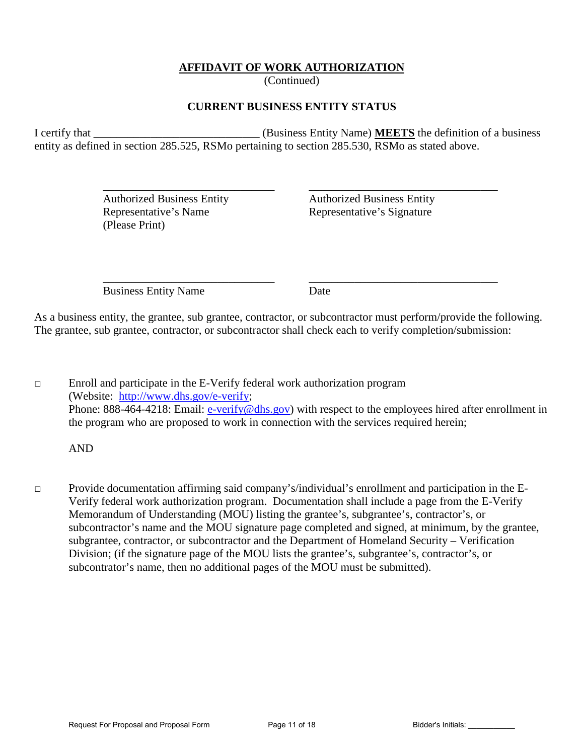# **AFFIDAVIT OF WORK AUTHORIZATION**

(Continued)

## **CURRENT BUSINESS ENTITY STATUS**

I certify that **I** certify that **I** certify that **I** certify that **I** certify that **I** certify that **I** certify that **I** certify that **I** certify that **I** certify that **I** certify that **I** certify that **I** certify that **I** entity as defined in section 285.525, RSMo pertaining to section 285.530, RSMo as stated above.

 $\overline{\phantom{a}}$  ,  $\overline{\phantom{a}}$  ,  $\overline{\phantom{a}}$  ,  $\overline{\phantom{a}}$  ,  $\overline{\phantom{a}}$  ,  $\overline{\phantom{a}}$  ,  $\overline{\phantom{a}}$  ,  $\overline{\phantom{a}}$  ,  $\overline{\phantom{a}}$  ,  $\overline{\phantom{a}}$  ,  $\overline{\phantom{a}}$  ,  $\overline{\phantom{a}}$  ,  $\overline{\phantom{a}}$  ,  $\overline{\phantom{a}}$  ,  $\overline{\phantom{a}}$  ,  $\overline{\phantom{a}}$ 

 $\overline{\phantom{a}}$  ,  $\overline{\phantom{a}}$  ,  $\overline{\phantom{a}}$  ,  $\overline{\phantom{a}}$  ,  $\overline{\phantom{a}}$  ,  $\overline{\phantom{a}}$  ,  $\overline{\phantom{a}}$  ,  $\overline{\phantom{a}}$  ,  $\overline{\phantom{a}}$  ,  $\overline{\phantom{a}}$  ,  $\overline{\phantom{a}}$  ,  $\overline{\phantom{a}}$  ,  $\overline{\phantom{a}}$  ,  $\overline{\phantom{a}}$  ,  $\overline{\phantom{a}}$  ,  $\overline{\phantom{a}}$ 

Representative's Name Representative's Signature (Please Print)

Authorized Business Entity Authorized Business Entity

Business Entity Name Date

As a business entity, the grantee, sub grantee, contractor, or subcontractor must perform/provide the following. The grantee, sub grantee, contractor, or subcontractor shall check each to verify completion/submission:

□ Enroll and participate in the E-Verify federal work authorization program (Website: [http://www.dhs.gov/e-verify;](http://www.dhs.gov/e-verify) Phone: 888-464-4218: Email: [e-verify@dhs.gov\)](mailto:e-verify@dhs.gov) with respect to the employees hired after enrollment in the program who are proposed to work in connection with the services required herein;

AND

□ Provide documentation affirming said company's/individual's enrollment and participation in the E-Verify federal work authorization program. Documentation shall include a page from the E-Verify Memorandum of Understanding (MOU) listing the grantee's, subgrantee's, contractor's, or subcontractor's name and the MOU signature page completed and signed, at minimum, by the grantee, subgrantee, contractor, or subcontractor and the Department of Homeland Security – Verification Division; (if the signature page of the MOU lists the grantee's, subgrantee's, contractor's, or subcontrator's name, then no additional pages of the MOU must be submitted).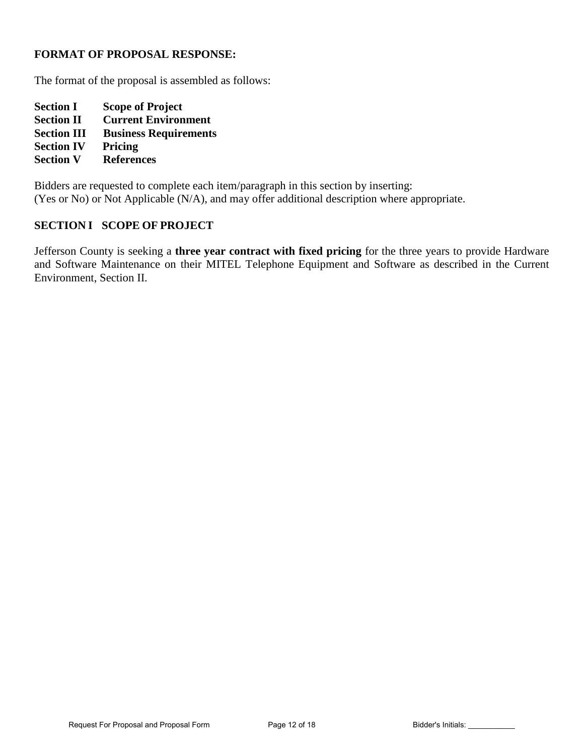### **FORMAT OF PROPOSAL RESPONSE:**

The format of the proposal is assembled as follows:

**Section I Scope of Project Section II Current Environment Section III Business Requirements Section IV Pricing Section V References** 

Bidders are requested to complete each item/paragraph in this section by inserting: (Yes or No) or Not Applicable (N/A), and may offer additional description where appropriate.

### **SECTION I SCOPE OF PROJECT**

Jefferson County is seeking a **three year contract with fixed pricing** for the three years to provide Hardware and Software Maintenance on their MITEL Telephone Equipment and Software as described in the Current Environment, Section II.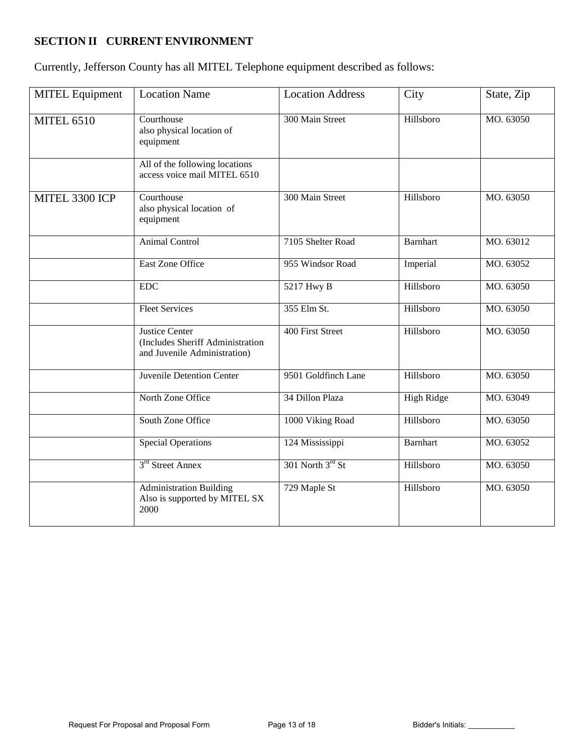# **SECTION II CURRENT ENVIRONMENT**

Currently, Jefferson County has all MITEL Telephone equipment described as follows:

| <b>MITEL Equipment</b> | <b>Location Name</b>                                                                      | <b>Location Address</b> | City              | State, Zip |
|------------------------|-------------------------------------------------------------------------------------------|-------------------------|-------------------|------------|
| <b>MITEL 6510</b>      | Courthouse<br>also physical location of<br>equipment                                      | 300 Main Street         | Hillsboro         | MO. 63050  |
|                        | All of the following locations<br>access voice mail MITEL 6510                            |                         |                   |            |
| MITEL 3300 ICP         | Courthouse<br>also physical location of<br>equipment                                      | 300 Main Street         | Hillsboro         | MO. 63050  |
|                        | Animal Control                                                                            | 7105 Shelter Road       | <b>Barnhart</b>   | MO. 63012  |
|                        | East Zone Office                                                                          | 955 Windsor Road        | Imperial          | MO. 63052  |
|                        | ${\rm EDC}$                                                                               | 5217 Hwy B              | Hillsboro         | MO. 63050  |
|                        | <b>Fleet Services</b>                                                                     | 355 Elm St.             | Hillsboro         | MO. 63050  |
|                        | <b>Justice Center</b><br>(Includes Sheriff Administration<br>and Juvenile Administration) | 400 First Street        | Hillsboro         | MO. 63050  |
|                        | <b>Juvenile Detention Center</b>                                                          | 9501 Goldfinch Lane     | Hillsboro         | MO. 63050  |
|                        | North Zone Office                                                                         | 34 Dillon Plaza         | <b>High Ridge</b> | MO. 63049  |
|                        | South Zone Office                                                                         | 1000 Viking Road        | Hillsboro         | MO. 63050  |
|                        | <b>Special Operations</b>                                                                 | 124 Mississippi         | <b>Barnhart</b>   | MO. 63052  |
|                        | 3 <sup>rd</sup> Street Annex                                                              | 301 North 3rd St        | Hillsboro         | MO. 63050  |
|                        | <b>Administration Building</b><br>Also is supported by MITEL SX<br>2000                   | 729 Maple St            | Hillsboro         | MO. 63050  |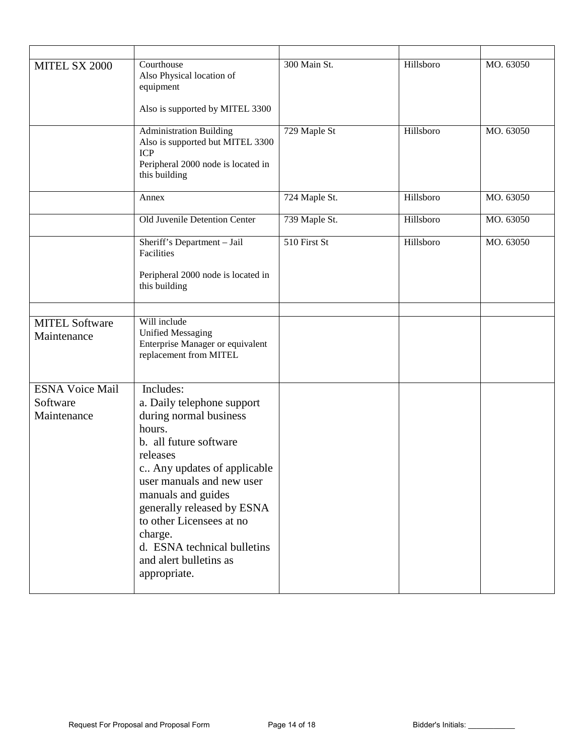| MITEL SX 2000                                     | Courthouse<br>Also Physical location of<br>equipment<br>Also is supported by MITEL 3300                                                                                                                                                                                                                                                           | 300 Main St.  | Hillsboro | MO. 63050 |
|---------------------------------------------------|---------------------------------------------------------------------------------------------------------------------------------------------------------------------------------------------------------------------------------------------------------------------------------------------------------------------------------------------------|---------------|-----------|-----------|
|                                                   | <b>Administration Building</b><br>Also is supported but MITEL 3300<br><b>ICP</b><br>Peripheral 2000 node is located in<br>this building                                                                                                                                                                                                           | 729 Maple St  | Hillsboro | MO. 63050 |
|                                                   | Annex                                                                                                                                                                                                                                                                                                                                             | 724 Maple St. | Hillsboro | MO. 63050 |
|                                                   | Old Juvenile Detention Center                                                                                                                                                                                                                                                                                                                     | 739 Maple St. | Hillsboro | MO. 63050 |
|                                                   | Sheriff's Department - Jail<br>Facilities<br>Peripheral 2000 node is located in<br>this building                                                                                                                                                                                                                                                  | 510 First St  | Hillsboro | MO. 63050 |
| <b>MITEL Software</b><br>Maintenance              | Will include<br><b>Unified Messaging</b><br>Enterprise Manager or equivalent<br>replacement from MITEL                                                                                                                                                                                                                                            |               |           |           |
| <b>ESNA Voice Mail</b><br>Software<br>Maintenance | Includes:<br>a. Daily telephone support<br>during normal business<br>hours.<br>b. all future software<br>releases<br>c Any updates of applicable<br>user manuals and new user<br>manuals and guides<br>generally released by ESNA<br>to other Licensees at no<br>charge.<br>d. ESNA technical bulletins<br>and alert bulletins as<br>appropriate. |               |           |           |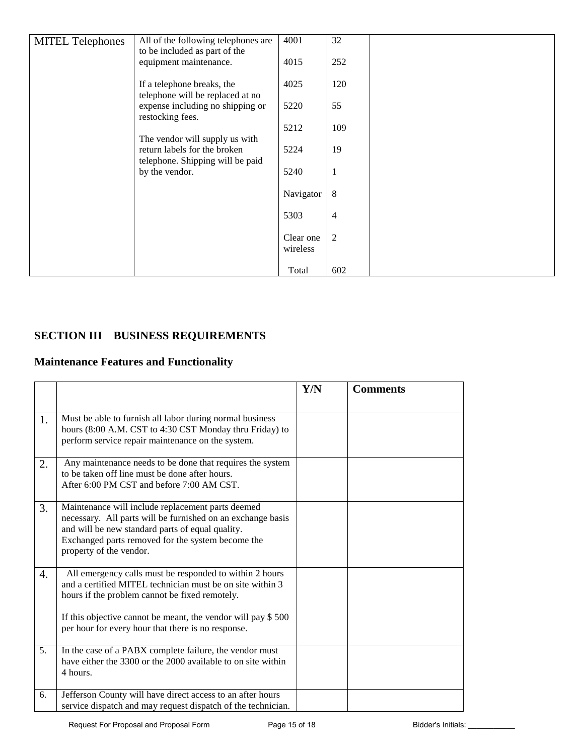| <b>MITEL Telephones</b> | All of the following telephones are<br>to be included as part of the                               | 4001                  | 32             |  |
|-------------------------|----------------------------------------------------------------------------------------------------|-----------------------|----------------|--|
|                         | equipment maintenance.                                                                             | 4015                  | 252            |  |
|                         | If a telephone breaks, the<br>telephone will be replaced at no                                     | 4025                  | 120            |  |
|                         | expense including no shipping or<br>restocking fees.                                               | 5220                  | 55             |  |
|                         |                                                                                                    | 5212                  | 109            |  |
|                         | The vendor will supply us with<br>return labels for the broken<br>telephone. Shipping will be paid | 5224                  | 19             |  |
|                         | by the vendor.                                                                                     | 5240                  | $\mathbf{1}$   |  |
|                         |                                                                                                    | Navigator             | 8              |  |
|                         |                                                                                                    | 5303                  | 4              |  |
|                         |                                                                                                    | Clear one<br>wireless | $\overline{c}$ |  |
|                         |                                                                                                    | Total                 | 602            |  |

# **SECTION III BUSINESS REQUIREMENTS**

# **Maintenance Features and Functionality**

|    |                                                                                                                                                                                                                                                                                              | Y/N | <b>Comments</b> |
|----|----------------------------------------------------------------------------------------------------------------------------------------------------------------------------------------------------------------------------------------------------------------------------------------------|-----|-----------------|
| 1. | Must be able to furnish all labor during normal business<br>hours (8:00 A.M. CST to 4:30 CST Monday thru Friday) to<br>perform service repair maintenance on the system.                                                                                                                     |     |                 |
| 2. | Any maintenance needs to be done that requires the system<br>to be taken off line must be done after hours.<br>After 6:00 PM CST and before 7:00 AM CST.                                                                                                                                     |     |                 |
| 3. | Maintenance will include replacement parts deemed<br>necessary. All parts will be furnished on an exchange basis<br>and will be new standard parts of equal quality.<br>Exchanged parts removed for the system become the<br>property of the vendor.                                         |     |                 |
| 4. | All emergency calls must be responded to within 2 hours<br>and a certified MITEL technician must be on site within 3<br>hours if the problem cannot be fixed remotely.<br>If this objective cannot be meant, the vendor will pay \$500<br>per hour for every hour that there is no response. |     |                 |
| 5. | In the case of a PABX complete failure, the vendor must<br>have either the 3300 or the 2000 available to on site within<br>4 hours.                                                                                                                                                          |     |                 |
| 6. | Jefferson County will have direct access to an after hours<br>service dispatch and may request dispatch of the technician.                                                                                                                                                                   |     |                 |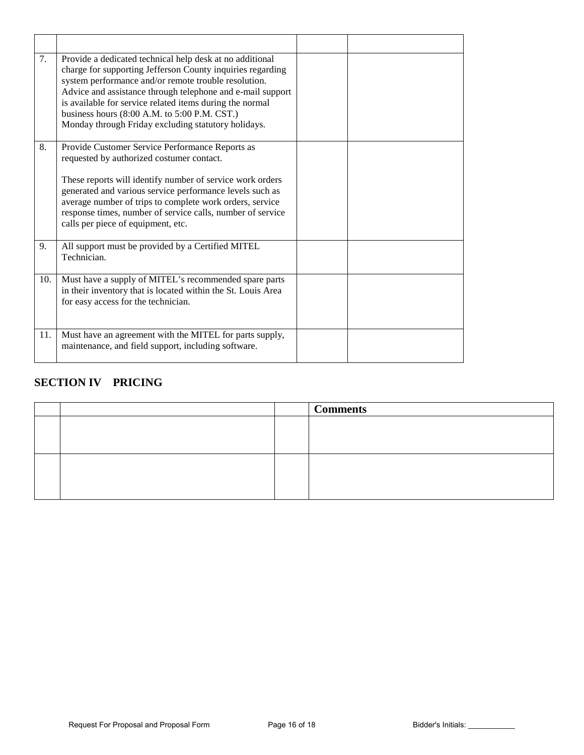| 7.  | Provide a dedicated technical help desk at no additional<br>charge for supporting Jefferson County inquiries regarding<br>system performance and/or remote trouble resolution.<br>Advice and assistance through telephone and e-mail support<br>is available for service related items during the normal<br>business hours (8:00 A.M. to 5:00 P.M. CST.)<br>Monday through Friday excluding statutory holidays. |  |
|-----|-----------------------------------------------------------------------------------------------------------------------------------------------------------------------------------------------------------------------------------------------------------------------------------------------------------------------------------------------------------------------------------------------------------------|--|
| 8.  | Provide Customer Service Performance Reports as<br>requested by authorized costumer contact.<br>These reports will identify number of service work orders<br>generated and various service performance levels such as<br>average number of trips to complete work orders, service<br>response times, number of service calls, number of service<br>calls per piece of equipment, etc.                           |  |
| 9.  | All support must be provided by a Certified MITEL<br>Technician.                                                                                                                                                                                                                                                                                                                                                |  |
| 10. | Must have a supply of MITEL's recommended spare parts<br>in their inventory that is located within the St. Louis Area<br>for easy access for the technician.                                                                                                                                                                                                                                                    |  |
| 11. | Must have an agreement with the MITEL for parts supply,<br>maintenance, and field support, including software.                                                                                                                                                                                                                                                                                                  |  |

# **SECTION IV PRICING**

|  | <b>Comments</b> |
|--|-----------------|
|  |                 |
|  |                 |
|  |                 |
|  |                 |
|  |                 |
|  |                 |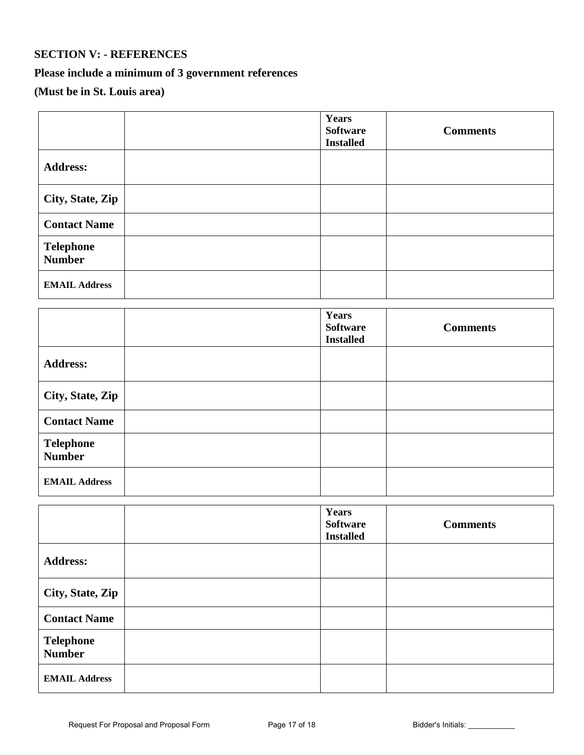## **SECTION V: - REFERENCES**

# **Please include a minimum of 3 government references**

# **(Must be in St. Louis area)**

|                                   | Years<br><b>Software</b><br><b>Installed</b> | <b>Comments</b> |
|-----------------------------------|----------------------------------------------|-----------------|
| <b>Address:</b>                   |                                              |                 |
| City, State, Zip                  |                                              |                 |
| <b>Contact Name</b>               |                                              |                 |
| <b>Telephone</b><br><b>Number</b> |                                              |                 |
| <b>EMAIL Address</b>              |                                              |                 |

|                                   | Years<br><b>Software</b><br><b>Installed</b> | <b>Comments</b> |
|-----------------------------------|----------------------------------------------|-----------------|
| <b>Address:</b>                   |                                              |                 |
| City, State, Zip                  |                                              |                 |
| <b>Contact Name</b>               |                                              |                 |
| <b>Telephone</b><br><b>Number</b> |                                              |                 |
| <b>EMAIL Address</b>              |                                              |                 |

|                                   | Years<br><b>Software</b><br><b>Installed</b> | <b>Comments</b> |
|-----------------------------------|----------------------------------------------|-----------------|
| <b>Address:</b>                   |                                              |                 |
| City, State, Zip                  |                                              |                 |
| <b>Contact Name</b>               |                                              |                 |
| <b>Telephone</b><br><b>Number</b> |                                              |                 |
| <b>EMAIL Address</b>              |                                              |                 |